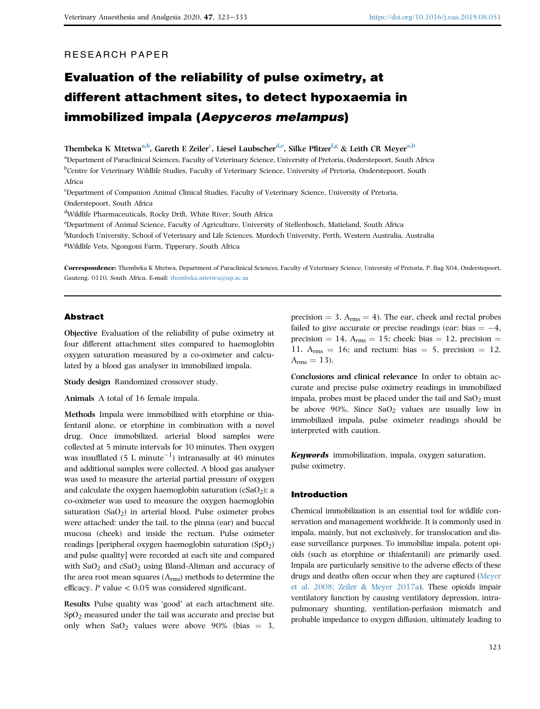# RESEARCH PAPER

# Evaluation of the reliability of pulse oximetry, at different attachment sites, to detect hypoxaemia in immobilized impala (Aepyceros melampus)

Thembeka K Mtetwa<sup>[a,](#page-0-0)[b](#page-0-1)</sup>, Gareth E Zeiler<sup>[c](#page-0-2)</sup>, Liesel Laubscher<sup>[d,](#page-0-3)[e](#page-0-4)</sup>, Silke P[f](#page-0-5)itzer<sup>f[,g](#page-0-6)</sup> & Leith CR Meyer<sup>[a](#page-0-0)[,b](#page-0-1)</sup>

<span id="page-0-1"></span><span id="page-0-0"></span>aDepartment of Paraclinical Sciences, Faculty of Veterinary Science, University of Pretoria, Onderstepoort, South Africa b Centre for Veterinary Wildlife Studies, Faculty of Veterinary Science, University of Pretoria, Onderstepoort, South Africa

<span id="page-0-2"></span>c Department of Companion Animal Clinical Studies, Faculty of Veterinary Science, University of Pretoria, Onderstepoort, South Africa

<span id="page-0-3"></span>d Wildlife Pharmaceuticals, Rocky Drift, White River, South Africa

<span id="page-0-4"></span>e Department of Animal Science, Faculty of Agriculture, University of Stellenbosch, Matieland, South Africa

<span id="page-0-6"></span><span id="page-0-5"></span>f Murdoch University, School of Veterinary and Life Sciences, Murdoch University, Perth, Western Australia, Australia <sup>g</sup>Wildlife Vets, Ngongoni Farm, Tipperary, South Africa

Correspondence: Thembeka K Mtetwa, Department of Paraclinical Sciences, Faculty of Veterinary Science, University of Pretoria, P. Bag X04, Onderstepoort, Gauteng, 0110, South Africa. E-mail: [thembeka.mtetwa@up.ac.za](mailto:thembeka.mtetwa@up.ac.za)

# Abstract

Objective Evaluation of the reliability of pulse oximetry at four different attachment sites compared to haemoglobin oxygen saturation measured by a co-oximeter and calculated by a blood gas analyser in immobilized impala.

Study design Randomized crossover study.

Animals A total of 16 female impala.

Methods Impala were immobilized with etorphine or thiafentanil alone, or etorphine in combination with a novel drug. Once immobilized, arterial blood samples were collected at 5 minute intervals for 30 minutes. Then oxygen was insufflated  $(5 L minute^{-1})$  intranasally at 40 minutes and additional samples were collected. A blood gas analyser was used to measure the arterial partial pressure of oxygen and calculate the oxygen haemoglobin saturation  $(cSaO<sub>2</sub>)$ ; a co-oximeter was used to measure the oxygen haemoglobin saturation  $(SaO<sub>2</sub>)$  in arterial blood. Pulse oximeter probes were attached: under the tail, to the pinna (ear) and buccal mucosa (cheek) and inside the rectum. Pulse oximeter readings [peripheral oxygen haemoglobin saturation (SpO<sub>2</sub>) and pulse quality] were recorded at each site and compared with  $SaO<sub>2</sub>$  and  $cSaO<sub>2</sub>$  using Bland-Altman and accuracy of the area root mean squares (Arms) methods to determine the efficacy. P value  $< 0.05$  was considered significant.

Results Pulse quality was 'good' at each attachment site. SpO<sub>2</sub> measured under the tail was accurate and precise but only when  $SaO<sub>2</sub>$  values were above 90% (bias = 3,

precision  $=$  3,  $A<sub>rms</sub> = 4$ ). The ear, cheek and rectal probes failed to give accurate or precise readings (ear: bias  $= -4$ , precision  $= 14$ , A<sub>rms</sub>  $= 15$ ; cheek: bias  $= 12$ , precision  $=$ 11,  $A<sub>rms</sub> = 16$ ; and rectum: bias = 5, precision = 12,  $A<sub>rms</sub> = 13$ .

Conclusions and clinical relevance In order to obtain accurate and precise pulse oximetry readings in immobilized impala, probes must be placed under the tail and  $SaO<sub>2</sub>$  must be above 90%. Since  $SaO<sub>2</sub>$  values are usually low in immobilized impala, pulse oximeter readings should be interpreted with caution.

Keywords immobilization, impala, oxygen saturation, pulse oximetry.

## Introduction

Chemical immobilization is an essential tool for wildlife conservation and management worldwide. It is commonly used in impala, mainly, but not exclusively, for translocation and disease surveillance purposes. To immobilize impala, potent opioids (such as etorphine or thiafentanil) are primarily used. Impala are particularly sensitive to the adverse effects of these drugs and deaths often occur when they are captured ([Meyer](#page-10-0) [et al. 2008; Zeiler](#page-10-0) & [Meyer 2017a](#page-10-0)). These opioids impair ventilatory function by causing ventilatory depression, intrapulmonary shunting, ventilation-perfusion mismatch and probable impedance to oxygen diffusion, ultimately leading to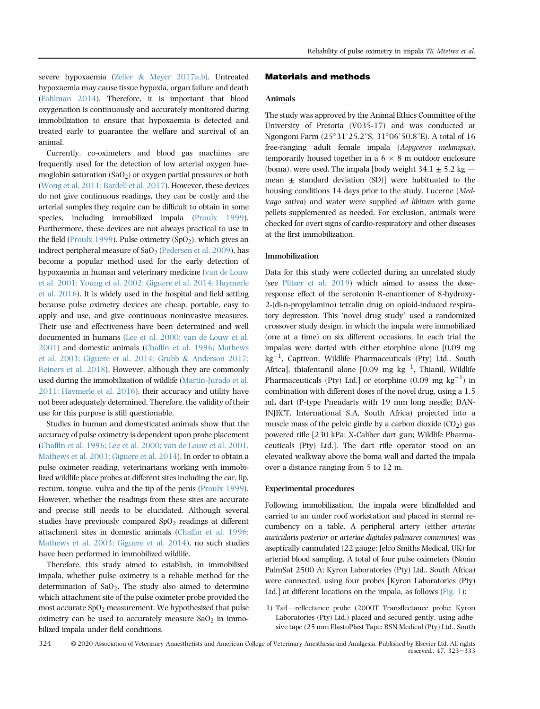severe hypoxaemia [\(Zeiler](#page-10-1) & [Meyer 2017a,b](#page-10-1)). Untreated hypoxaemia may cause tissue hypoxia, organ failure and death [\(Fahlman 2014](#page-10-2)). Therefore, it is important that blood oxygenation is continuously and accurately monitored during immobilization to ensure that hypoxaemia is detected and treated early to guarantee the welfare and survival of an animal.

Currently, co-oximeters and blood gas machines are frequently used for the detection of low arterial oxygen haemoglobin saturation  $(SaO<sub>2</sub>)$  or oxygen partial pressures or both [\(Wong et al. 2011; Bardell et al. 2017](#page-10-3)). However, these devices do not give continuous readings, they can be costly and the arterial samples they require can be difficult to obtain in some species, including immobilized impala ([Proulx 1999](#page-10-4)). Furthermore, these devices are not always practical to use in the field [\(Proulx 1999\)](#page-10-4). Pulse oximetry (SpO<sub>2</sub>), which gives an indirect peripheral measure of  $a_2$  ([Pedersen et al. 2009](#page-10-5)), has become a popular method used for the early detection of hypoxaemia in human and veterinary medicine [\(van de Louw](#page-10-6) [et al. 2001; Young et al. 2002; Giguere et al. 2014; Haymerle](#page-10-6) [et al. 2016\)](#page-10-6). It is widely used in the hospital and field setting because pulse oximetry devices are cheap, portable, easy to apply and use, and give continuous noninvasive measures. Their use and effectiveness have been determined and well documented in humans ([Lee et al. 2000; van de Louw et al.](#page-10-7) [2001](#page-10-7)) and domestic animals (Chaffi[n et al. 1996; Mathews](#page-9-0) [et al. 2003; Giguere et al. 2014; Grubb](#page-9-0) & [Anderson 2017;](#page-9-0) [Reiners et al. 2018](#page-9-0)). However, although they are commonly used during the immobilization of wildlife ([Martin-Jurado et al.](#page-10-8) [2011; Haymerle et al. 2016](#page-10-8)), their accuracy and utility have not been adequately determined. Therefore, the validity of their use for this purpose is still questionable.

Studies in human and domesticated animals show that the accuracy of pulse oximetry is dependent upon probe placement (Chaffi[n et al. 1996; Lee et al. 2000; van de Louw et al. 2001,](#page-9-0) [Mathews et al. 2003; Giguere et al. 2014](#page-9-0)). In order to obtain a pulse oximeter reading, veterinarians working with immobilized wildlife place probes at different sites including the ear, lip, rectum, tongue, vulva and the tip of the penis [\(Proulx 1999](#page-10-4)). However, whether the readings from these sites are accurate and precise still needs to be elucidated. Although several studies have previously compared  $SpO<sub>2</sub>$  readings at different attachment sites in domestic animals (Chaffi[n et al. 1996;](#page-9-0) [Mathews et al. 2003; Giguere et al. 2014\)](#page-9-0), no such studies have been performed in immobilized wildlife.

Therefore, this study aimed to establish, in immobilized impala, whether pulse oximetry is a reliable method for the determination of  $SaO<sub>2</sub>$ . The study also aimed to determine which attachment site of the pulse oximeter probe provided the most accurate  $SpO<sub>2</sub>$  measurement. We hypothesized that pulse oximetry can be used to accurately measure  $a_0$  in immobilized impala under field conditions.

## Materials and methods

## Animals

The study was approved by the Animal Ethics Committee of the University of Pretoria (V035-17) and was conducted at Ngongoni Farm (25°31'25.2"S, 31°06'50.8"E). A total of 16 free-ranging adult female impala (Aepyceros melampus), temporarily housed together in a  $6 \times 8$  m outdoor enclosure (boma), were used. The impala [body weight  $34.1 \pm 5.2$  kg mean  $\pm$  standard deviation (SD)] were habituated to the housing conditions 14 days prior to the study. Lucerne (Medicago sativa) and water were supplied ad libitum with game pellets supplemented as needed. For exclusion, animals were checked for overt signs of cardio-respiratory and other diseases at the first immobilization.

# Immobilization

Data for this study were collected during an unrelated study (see Pfi[tzer et al. 2019\)](#page-10-9) which aimed to assess the doseresponse effect of the serotonin R-enantiomer of 8-hydroxy-2-(di-n-propylamino) tetralin drug on opioid-induced respira-tory depression. This 'novel drug study' used a randomized crossover study design, in which the impala were immobilized (one at a time) on six different occasions. In each trial the impalas were darted with either etorphine alone [0.09 mg  $\text{kg}^{-1}$ , Captivon, Wildlife Pharmaceuticals (Pty) Ltd., South Africa], thiafentanil alone  $[0.09$  mg  $\text{kg}^{-1}$ , Thianil, Wildlife Pharmaceuticals (Pty) Ltd.] or etorphine (0.09 mg  $kg^{-1}$ ) in combination with different doses of the novel drug, using a 1.5 mL dart (P-type Pneudarts with 19 mm long needle; DAN-INJECT, International S.A, South Africa) projected into a muscle mass of the pelvic girdle by a carbon dioxide  $(CO<sub>2</sub>)$  gas powered rifle [230 kPa: X-Caliber dart gun; Wildlife Pharmaceuticals (Pty) Ltd.]. The dart rifle operator stood on an elevated walkway above the boma wall and darted the impala over a distance ranging from 5 to 12 m.

## Experimental procedures

Following immobilization, the impala were blindfolded and carried to an under roof workstation and placed in sternal recumbency on a table. A peripheral artery (either arteriae auricularis posterior or arteriae digitales palmares communes) was aseptically cannulated (22 gauge; Jelco Smiths Medical, UK) for arterial blood sampling. A total of four pulse oximeters (Nonin PalmSat 2500 A; Kyron Laboratories (Pty) Ltd., South Africa) were connected, using four probes [Kyron Laboratories (Pty) Ltd.] at different locations on the impala, as follows [\(Fig. 1](#page-2-0)):

1) Tail—reflectance probe (2000T Transflectance probe; Kyron Laboratories (Pty) Ltd.) placed and secured gently, using adhesive tape (25 mm ElastoPlast Tape; BSN Medical (Pty) Ltd., South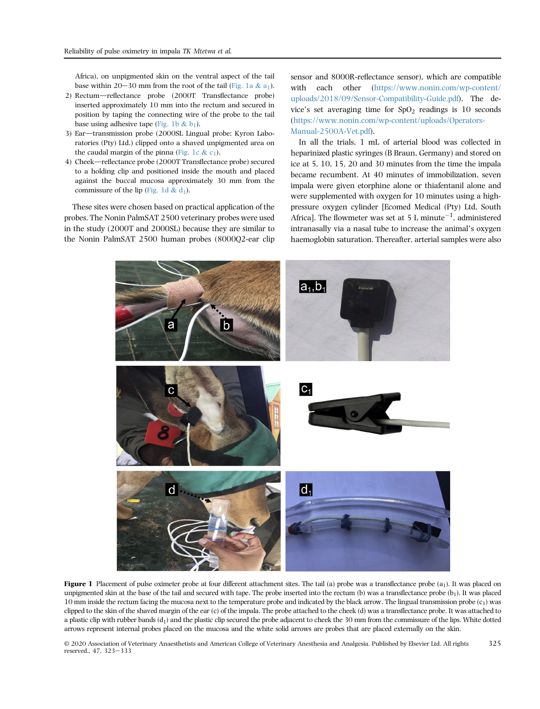Africa), on unpigmented skin on the ventral aspect of the tail base within 20–30 mm from the root of the tail ([Fig. 1a](#page-2-0) & a<sub>1</sub>).

- 2) Rectum—reflectance probe (2000T Transflectance probe) inserted approximately 10 mm into the rectum and secured in position by taping the connecting wire of the probe to the tail base using adhesive tape ([Fig. 1b](#page-2-0)  $& b_1$ ).
- 3) Ear-transmission probe (2000SL Lingual probe; Kyron Laboratories (Pty) Ltd.) clipped onto a shaved unpigmented area on the caudal margin of the pinna ([Fig. 1c](#page-2-0)  $\&$  c<sub>1</sub>).
- 4) Cheek-reflectance probe (2000T Transflectance probe) secured to a holding clip and positioned inside the mouth and placed against the buccal mucosa approximately 30 mm from the commissure of the lip [\(Fig. 1d](#page-2-0) &  $d_1$ ).

<span id="page-2-0"></span>These sites were chosen based on practical application of the probes. The Nonin PalmSAT 2500 veterinary probes were used in the study (2000T and 2000SL) because they are similar to the Nonin PalmSAT 2500 human probes (8000Q2-ear clip sensor and 8000R-reflectance sensor), which are compatible with each other ([https://www.nonin.com/wp-content/](https://www.nonin.com/wp-content/uploads/2018/09/Sensor-Compatibility-Guide.pdf) [uploads/2018/09/Sensor-Compatibility-Guide.pdf\)](https://www.nonin.com/wp-content/uploads/2018/09/Sensor-Compatibility-Guide.pdf). The device's set averaging time for  $SpO<sub>2</sub>$  readings is 10 seconds ([https://www.nonin.com/wp-content/uploads/Operators-](https://www.nonin.com/wp-content/uploads/Operators-Manual-2500A-Vet.pdf)[Manual-2500A-Vet.pdf](https://www.nonin.com/wp-content/uploads/Operators-Manual-2500A-Vet.pdf)).

In all the trials, 1 mL of arterial blood was collected in heparinized plastic syringes (B Braun, Germany) and stored on ice at 5, 10, 15, 20 and 30 minutes from the time the impala became recumbent. At 40 minutes of immobilization, seven impala were given etorphine alone or thiafentanil alone and were supplemented with oxygen for 10 minutes using a highpressure oxygen cylinder [Ecomed Medical (Pty) Ltd, South Africa]. The flowmeter was set at 5 L minute<sup>-1</sup>, administered intranasally via a nasal tube to increase the animal's oxygen haemoglobin saturation. Thereafter, arterial samples were also



**Figure 1** Placement of pulse oximeter probe at four different attachment sites. The tail (a) probe was a transflectance probe  $(a_1)$ . It was placed on unpigmented skin at the base of the tail and secured with tape. The probe inserted into the rectum (b) was a transflectance probe  $(b_1)$ . It was placed 10 mm inside the rectum facing the mucosa next to the temperature probe and indicated by the black arrow. The lingual transmission probe  $(c_1)$  was clipped to the skin of the shaved margin of the ear (c) of the impala. The probe attached to the cheek (d) was a transflectance probe. It was attached to a plastic clip with rubber bands  $(d_1)$  and the plastic clip secured the probe adjacent to cheek the 30 mm from the commissure of the lips. White dotted arrows represent internal probes placed on the mucosa and the white solid arrows are probes that are placed externally on the skin.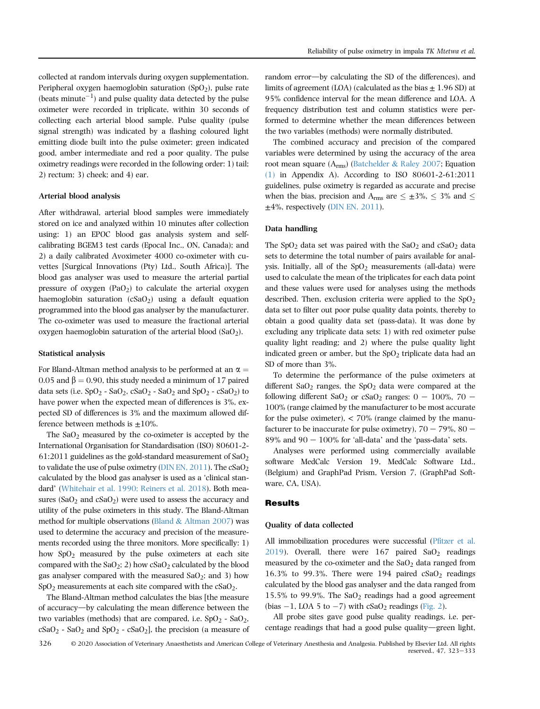collected at random intervals during oxygen supplementation. Peripheral oxygen haemoglobin saturation  $(SpO<sub>2</sub>)$ , pulse rate (beats minute<sup> $-1$ </sup>) and pulse quality data detected by the pulse oximeter were recorded in triplicate, within 30 seconds of collecting each arterial blood sample. Pulse quality (pulse signal strength) was indicated by a flashing coloured light emitting diode built into the pulse oximeter; green indicated good, amber intermediate and red a poor quality. The pulse oximetry readings were recorded in the following order: 1) tail; 2) rectum; 3) cheek; and 4) ear.

## Arterial blood analysis

After withdrawal, arterial blood samples were immediately stored on ice and analyzed within 10 minutes after collection using: 1) an EPOC blood gas analysis system and selfcalibrating BGEM3 test cards (Epocal Inc., ON, Canada); and 2) a daily calibrated Avoximeter 4000 co-oximeter with cuvettes [Surgical Innovations (Pty) Ltd., South Africa)]. The blood gas analyser was used to measure the arterial partial pressure of oxygen  $(PaO<sub>2</sub>)$  to calculate the arterial oxygen haemoglobin saturation  $(cSaO<sub>2</sub>)$  using a default equation programmed into the blood gas analyser by the manufacturer. The co-oximeter was used to measure the fractional arterial oxygen haemoglobin saturation of the arterial blood  $(SaO<sub>2</sub>)$ .

## Statistical analysis

For Bland-Altman method analysis to be performed at an  $\alpha =$ 0.05 and  $\beta$  = 0.90, this study needed a minimum of 17 paired data sets (i.e.  $SpO_2 - SaO_2$ ,  $CSaO_2 - SaO_2$  and  $SpO_2 - cSaO_2$ ) to have power when the expected mean of differences is 3%, expected SD of differences is 3% and the maximum allowed difference between methods is  $\pm 10\%$ .

The  $SaO<sub>2</sub>$  measured by the co-oximeter is accepted by the International Organisation for Standardisation (ISO) 80601-2- 61:2011 guidelines as the gold-standard measurement of  $SaO<sub>2</sub>$ to validate the use of pulse oximetry ( $\overline{D}$ IN EN, 2011). The cSaO<sub>2</sub> calculated by the blood gas analyser is used as a 'clinical stan-dard' ([Whitehair et al. 1990; Reiners et al. 2018\)](#page-10-11). Both measures ( $SaO<sub>2</sub>$  and  $cSaO<sub>2</sub>$ ) were used to assess the accuracy and utility of the pulse oximeters in this study. The Bland-Altman method for multiple observations [\(Bland](#page-9-1)  $&$  [Altman 2007](#page-9-1)) was used to determine the accuracy and precision of the measurements recorded using the three monitors. More specifically: 1) how SpO2 measured by the pulse oximeters at each site compared with the  $SaO_2$ ; 2) how cSaO<sub>2</sub> calculated by the blood gas analyser compared with the measured  $SaO<sub>2</sub>$ ; and 3) how  $SpO<sub>2</sub>$  measurements at each site compared with the  $cSaO<sub>2</sub>$ .

The Bland-Altman method calculates the bias [the measure of accuracy—by calculating the mean difference between the two variables (methods) that are compared, i.e.  $SpO<sub>2</sub>$  -  $SaO<sub>2</sub>$ ,  $cSaO<sub>2</sub> - SaO<sub>2</sub>$  and SpO<sub>2</sub> -  $cSaO<sub>2</sub>$ ], the precision (a measure of random error—by calculating the SD of the differences), and limits of agreement  $(LOA)$  (calculated as the bias  $+1.96$  SD) at 95% confidence interval for the mean difference and LOA. A frequency distribution test and column statistics were performed to determine whether the mean differences between the two variables (methods) were normally distributed.

The combined accuracy and precision of the compared variables were determined by using the accuracy of the area root mean square (Arms) ([Batchelder](#page-9-2) & [Raley 2007](#page-9-2); Equation [\(1\)](#page-10-12) in Appendix A). According to ISO 80601-2-61:2011 guidelines, pulse oximetry is regarded as accurate and precise when the bias, precision and A<sub>rms</sub> are  $\leq \pm 3\%$ ,  $\leq 3\%$  and  $\leq$  $\pm 4\%$ , respectively ([DIN EN, 2011\)](#page-10-10).

## Data handling

The  $SpO<sub>2</sub>$  data set was paired with the  $SaO<sub>2</sub>$  and  $cSaO<sub>2</sub>$  data sets to determine the total number of pairs available for analysis. Initially, all of the  $SpO<sub>2</sub>$  measurements (all-data) were used to calculate the mean of the triplicates for each data point and these values were used for analyses using the methods described. Then, exclusion criteria were applied to the  $SpO<sub>2</sub>$ data set to filter out poor pulse quality data points, thereby to obtain a good quality data set (pass-data). It was done by excluding any triplicate data sets: 1) with red oximeter pulse quality light reading; and 2) where the pulse quality light indicated green or amber, but the  $SpO<sub>2</sub>$  triplicate data had an SD of more than 3%.

To determine the performance of the pulse oximeters at different  $SaO<sub>2</sub>$  ranges, the  $SpO<sub>2</sub>$  data were compared at the following different SaO<sub>2</sub> or cSaO<sub>2</sub> ranges:  $0 - 100\%$ ,  $70 -$ 100% (range claimed by the manufacturer to be most accurate for the pulse oximeter),  $\langle 70\%$  (range claimed by the manufacturer to be inaccurate for pulse oximetry),  $70 - 79\%$ ,  $80 89\%$  and  $90 - 100\%$  for 'all-data' and the 'pass-data' sets.

Analyses were performed using commercially available software MedCalc Version 19, MedCalc Software Ltd., (Belgium) and GraphPad Prism, Version 7, (GraphPad Software, CA, USA).

## Results

## Quality of data collected

All immobilization procedures were successful (Pfi[tzer et al.](#page-10-9) [2019](#page-10-9)). Overall, there were  $167$  paired  $SaO<sub>2</sub>$  readings measured by the co-oximeter and the  $SaO<sub>2</sub>$  data ranged from 16.3% to 99.3%. There were 194 paired  $cSaO<sub>2</sub>$  readings calculated by the blood gas analyser and the data ranged from 15.5% to 99.9%. The  $SaO<sub>2</sub>$  readings had a good agreement (bias  $-1$ , LOA 5 to  $-7$ ) with cSaO<sub>2</sub> readings ([Fig. 2\)](#page-4-0).

All probe sites gave good pulse quality readings, i.e. percentage readings that had a good pulse quality-green light,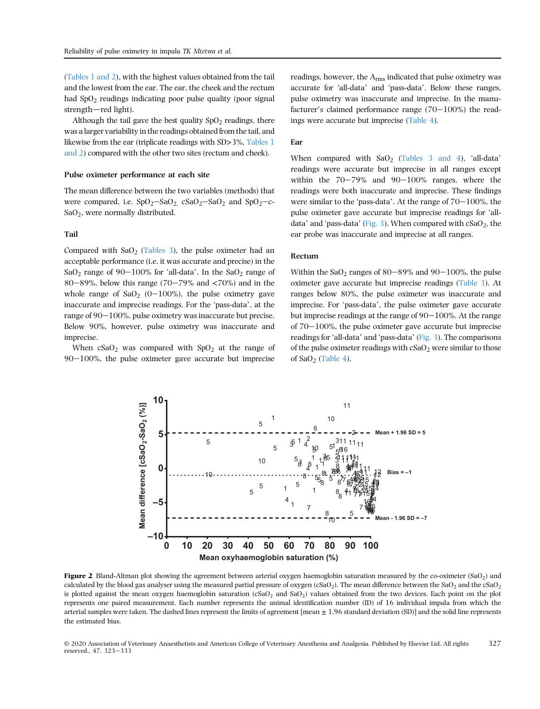([Tables 1 and 2\)](#page-6-0), with the highest values obtained from the tail and the lowest from the ear. The ear, the cheek and the rectum had  $SpO<sub>2</sub>$  readings indicating poor pulse quality (poor signal strength-red light).

Although the tail gave the best quality  $SpO<sub>2</sub>$  readings, there was a larger variability in the readings obtained from the tail, and likewise from the ear (triplicate readings with SD>3%, [Tables 1](#page-6-0) [and 2](#page-6-0)) compared with the other two sites (rectum and cheek).

## Pulse oximeter performance at each site

The mean difference between the two variables (methods) that were compared, i.e.  $SpO_2-SaO_2$   $csaO_2-SaO_2$  and  $SpO_2-c-$ SaO2, were normally distributed.

#### Tail

Compared with  $SaO<sub>2</sub>$  ([Tables 3](#page-7-0)), the pulse oximeter had an acceptable performance (i.e. it was accurate and precise) in the SaO<sub>2</sub> range of 90-100% for 'all-data'. In the SaO<sub>2</sub> range of 80–89%, below this range (70–79% and  $\langle 70^{\circ} \rangle$ ) and in the whole range of  $\text{SaO}_2$  (0-100%), the pulse oximetry gave inaccurate and imprecise readings. For the 'pass-data', at the range of  $90-100\%$ , pulse oximetry was inaccurate but precise. Below 90%, however, pulse oximetry was inaccurate and imprecise.

<span id="page-4-0"></span>When  $cSaO<sub>2</sub>$  was compared with  $SpO<sub>2</sub>$  at the range of  $90-100\%$ , the pulse oximeter gave accurate but imprecise

readings, however, the  $A_{rms}$  indicated that pulse oximetry was accurate for 'all-data' and 'pass-data'. Below these ranges, pulse oximetry was inaccurate and imprecise. In the manuaccurate for 'all-data' and 'pass-data'. Below these ranges, pulse oximetry was inaccurate and imprecise. In the manu-<br>facturer's claimed performance range  $(70-100\%)$  the readings were accurate but imprecise ([Table 4\)](#page-8-0).

## Ear

When compared with  $SaO<sub>2</sub>$  ([Tables 3 and 4](#page-7-0)), 'all-data' readings were accurate but imprecise in all ranges except within the  $70-79\%$  and  $90-100\%$  ranges, where the readings were both inaccurate and imprecise. These findings were similar to the 'pass-data'. At the range of  $70-100%$ , the pulse oximeter gave accurate but imprecise readings for 'all-<br>data' and 'pass-data' [\(Fig. 3\)](#page-5-0). When compared with cSaO<sub>2</sub>, the ear probe was inaccurate and imprecise at all ranges.

# Rectum

Within the  $SaO<sub>2</sub>$  ranges of 80-89% and 90-100%, the pulse oximeter gave accurate but imprecise readings [\(Table 3](#page-7-0)). At ranges below 80%, the pulse oximeter was inaccurate and imprecise. For 'pass-data', the pulse oximeter gave accurate but imprecise readings at the range of  $90-100\%$ . At the range of 70–100%, the pulse oximeter gave accurate but imprecise<br>readings for 'all-data' and 'pass-data' [\(Fig. 3\)](#page-5-0). The comparisons of the pulse oximeter readings with  $cSaO<sub>2</sub>$  were similar to those of  $SaO<sub>2</sub>$  [\(Table 4\)](#page-8-0).



Figure 2 Bland-Altman plot showing the agreement between arterial oxygen haemoglobin saturation measured by the co-oximeter (SaO<sub>2</sub>) and calculated by the blood gas analyser using the measured partial pressure of oxygen (cSaO<sub>2</sub>). The mean difference between the SaO<sub>2</sub> and the cSaO<sub>2</sub> is plotted against the mean oxygen haemoglobin saturation  $(cSaO<sub>2</sub>$  and  $SaO<sub>2</sub>)$  values obtained from the two devices. Each point on the plot represents one paired measurement. Each number represents the animal identification number (ID) of 16 individual impala from which the arterial samples were taken. The dashed lines represent the limits of agreement [mean  $\pm$  1.96 standard deviation (SD)] and the solid line represents the estimated bias.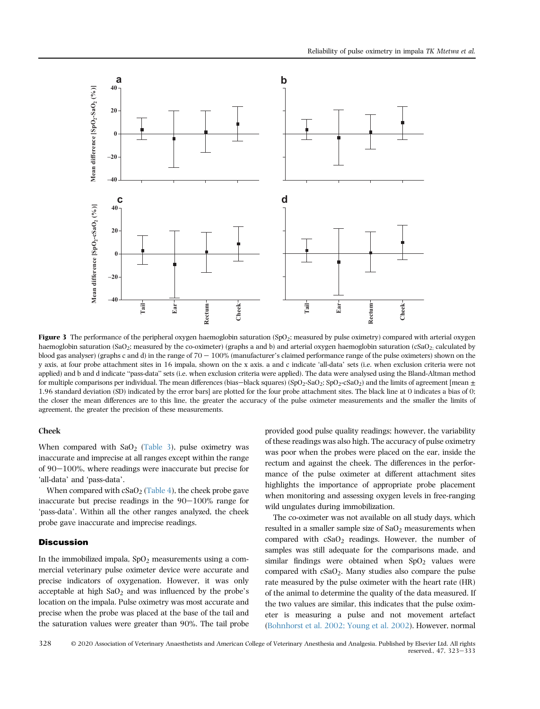<span id="page-5-0"></span>

**Figure 3** The performance of the peripheral oxygen haemoglobin saturation (SpO<sub>2</sub>; measured by pulse oximetry) compared with arterial oxygen haemoglobin saturation (SaO<sub>2</sub>; measured by the co-oximeter) (graphs a and b) and arterial oxygen haemoglobin saturation (cSaO<sub>2;</sub> calculated by blood gas analyser) (graphs c and d) in the range of  $70 - 100\%$  (manufactur blood gas analyser) (graphs c and d) in the range of  $70 - 100\%$  (manufacturer's claimed performance range of the pulse oximeters) shown on the y axis, at four probe attachment sites in 16 impala, shown on the x axis. a a applied) and b and d indicate "pass-data" sets (i.e. when exclusion criteria were applied). The data were analysed using the Bland-Altman method applied) and b and d indicate "pass-data" sets (i.e. when exclusion criteria for multiple comparisons per individual. The mean differences (bias—black squares) (SpO<sub>2</sub>-SaO<sub>2</sub>)  $SpO<sub>2</sub>-cSaO<sub>2</sub>$ ) and the limits of agreement [mean  $\pm$ 1.96 standard deviation (SD) indicated by the error bars] are plotted for the four probe attachment sites. The black line at 0 indicates a bias of 0; the closer the mean differences are to this line, the greater the accuracy of the pulse oximeter measurements and the smaller the limits of agreement, the greater the precision of these measurements.

## Cheek

When compared with  $SaO<sub>2</sub>$  ([Table 3\)](#page-7-0), pulse oximetry was inaccurate and imprecise at all ranges except within the range of 90–100%, where readings were inaccurate but precise for 'all-data' and 'pass-data'.

When compared with  $cSaO<sub>2</sub>$  ([Table 4](#page-8-0)), the cheek probe gave inaccurate but precise readings in the  $90-100\%$  range for 'pass-data'. Within all the other ranges analyzed, the cheek probe gave inaccurate and imprecise readings.

## **Discussion**

In the immobilized impala,  $SpO<sub>2</sub>$  measurements using a commercial veterinary pulse oximeter device were accurate and precise indicators of oxygenation. However, it was only acceptable at high  $SaO<sub>2</sub>$  and was influenced by the probe's location on the impala. Pulse oximetry was most accurate and precise when the probe was placed at the base of the tail and the saturation values were greater than 90%. The tail probe provided good pulse quality readings; however, the variability of these readings was also high. The accuracy of pulse oximetry was poor when the probes were placed on the ear, inside the rectum and against the cheek. The differences in the performance of the pulse oximeter at different attachment sites highlights the importance of appropriate probe placement when monitoring and assessing oxygen levels in free-ranging wild ungulates during immobilization.

The co-oximeter was not available on all study days, which resulted in a smaller sample size of  $SaO<sub>2</sub>$  measurements when compared with  $cSaO<sub>2</sub>$  readings. However, the number of samples was still adequate for the comparisons made, and similar findings were obtained when  $SpO<sub>2</sub>$  values were compared with  $cSaO<sub>2</sub>$ . Many studies also compare the pulse rate measured by the pulse oximeter with the heart rate (HR) of the animal to determine the quality of the data measured. If the two values are similar, this indicates that the pulse oximeter is measuring a pulse and not movement artefact **Example 12**  $\frac{3}{2}$  **Example 12 Example 12 Example 12 Example 12 Example 12 Example 12 Example 12 Example 12 Example 12 Example 12 Example 12 Example 12 Example 12 Example 12 Example 12 Ex**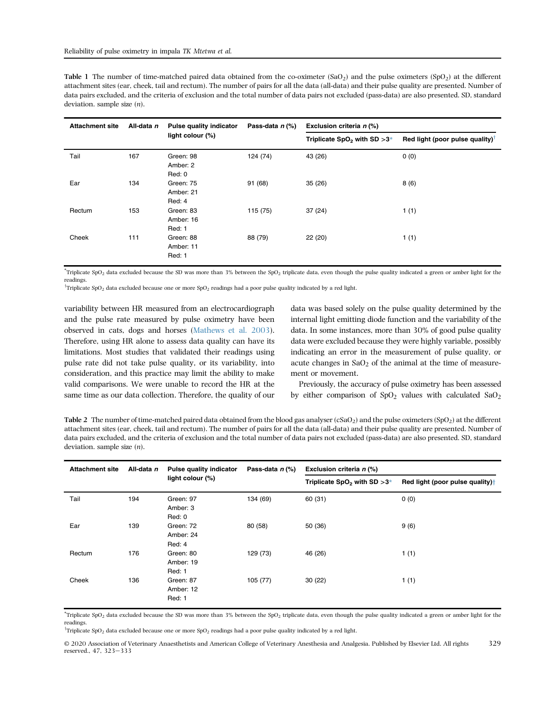<span id="page-6-0"></span>Table 1 The number of time-matched paired data obtained from the co-oximeter  $(SaO<sub>2</sub>)$  and the pulse oximeters  $(SpO<sub>2</sub>)$  at the different attachment sites (ear, cheek, tail and rectum). The number of pairs for all the data (all-data) and their pulse quality are presented. Number of data pairs excluded, and the criteria of exclusion and the total number of data pairs not excluded (pass-data) are also presented. SD, standard deviation. sample size (n).

| <b>Attachment site</b> | All-data n | <b>Pulse quality indicator</b>   | Pass-data n (%) | Exclusion criteria n (%)                   |                                             |  |  |  |  |
|------------------------|------------|----------------------------------|-----------------|--------------------------------------------|---------------------------------------------|--|--|--|--|
|                        |            | light colour (%)                 |                 | Triplicate SpO <sub>2</sub> with SD $>3^*$ | Red light (poor pulse quality) <sup>T</sup> |  |  |  |  |
| Tail                   | 167        | Green: 98<br>Amber: 2<br>Red: 0  | 124 (74)        | 43 (26)                                    | 0(0)                                        |  |  |  |  |
| Ear                    | 134        | Green: 75<br>Amber: 21<br>Red: 4 | 91 (68)         | 35(26)                                     | 8(6)                                        |  |  |  |  |
| Rectum                 | 153        | Green: 83<br>Amber: 16<br>Red: 1 | 115 (75)        | 37(24)                                     | 1(1)                                        |  |  |  |  |
| Cheek                  | 111        | Green: 88<br>Amber: 11<br>Red: 1 | 88 (79)         | 22 (20)                                    | 1(1)                                        |  |  |  |  |

\* Triplicate SpO2 data excluded because the SD was more than 3% between the SpO2 triplicate data, even though the pulse quality indicated a green or amber light for the readings.

 $\overline{y}$ Triplicate SpO<sub>2</sub> data excluded because one or more SpO<sub>2</sub> readings had a poor pulse quality indicated by a red light.

variability between HR measured from an electrocardiograph and the pulse rate measured by pulse oximetry have been observed in cats, dogs and horses [\(Mathews et al. 2003\)](#page-10-13). Therefore, using HR alone to assess data quality can have its limitations. Most studies that validated their readings using pulse rate did not take pulse quality, or its variability, into consideration, and this practice may limit the ability to make valid comparisons. We were unable to record the HR at the same time as our data collection. Therefore, the quality of our data was based solely on the pulse quality determined by the internal light emitting diode function and the variability of the data. In some instances, more than 30% of good pulse quality data were excluded because they were highly variable, possibly indicating an error in the measurement of pulse quality, or acute changes in  $SaO<sub>2</sub>$  of the animal at the time of measurement or movement.

Previously, the accuracy of pulse oximetry has been assessed by either comparison of  $SpO<sub>2</sub>$  values with calculated  $SaO<sub>2</sub>$ 

Table 2 The number of time-matched paired data obtained from the blood gas analyser  $(cSaO<sub>2</sub>)$  and the pulse oximeters  $(SpO<sub>2</sub>)$  at the different attachment sites (ear, cheek, tail and rectum). The number of pairs for all the data (all-data) and their pulse quality are presented. Number of data pairs excluded, and the criteria of exclusion and the total number of data pairs not excluded (pass-data) are also presented. SD, standard deviation. sample size (n).

| <b>Attachment site</b> | All-data n | <b>Pulse quality indicator</b>   | Pass-data $n$ (%) | Exclusion criteria n (%)         |                                             |  |  |  |  |
|------------------------|------------|----------------------------------|-------------------|----------------------------------|---------------------------------------------|--|--|--|--|
|                        |            | light colour (%)                 |                   | Triplicate $SpO2$ with $SD > 3*$ | Red light (poor pulse quality) <sup>†</sup> |  |  |  |  |
| Tail                   | 194        | Green: 97<br>Amber: 3<br>Red: 0  | 134 (69)          | 60 (31)                          | 0(0)                                        |  |  |  |  |
| Ear                    | 139        | Green: 72<br>Amber: 24<br>Red: 4 | 80 (58)           | 50 (36)                          | 9(6)                                        |  |  |  |  |
| Rectum                 | 176        | Green: 80<br>Amber: 19<br>Red: 1 | 129 (73)          | 46 (26)                          | 1(1)                                        |  |  |  |  |
| Cheek                  | 136        | Green: 87<br>Amber: 12<br>Red: 1 | 105(77)           | 30(22)                           | 1(1)                                        |  |  |  |  |

\* Triplicate SpO2 data excluded because the SD was more than 3% between the SpO2 triplicate data, even though the pulse quality indicated a green or amber light for the readings.

 $^{\text{Tr}}$ riplicate SpO<sub>2</sub> data excluded because one or more SpO<sub>2</sub> readings had a poor pulse quality indicated by a red light.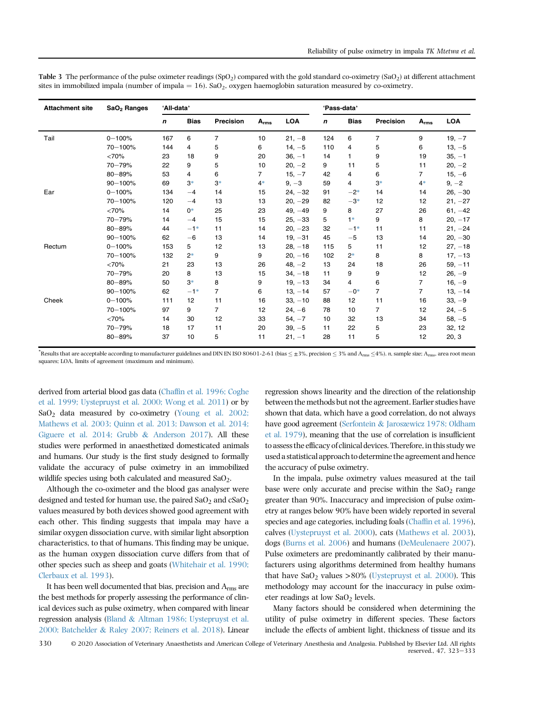| <b>Attachment site</b> | SaO <sub>2</sub> Ranges | 'All-data' |             |                |           |            | 'Pass-data' |             |                |                |            |
|------------------------|-------------------------|------------|-------------|----------------|-----------|------------|-------------|-------------|----------------|----------------|------------|
|                        |                         | n          | <b>Bias</b> | Precision      | $A_{rms}$ | <b>LOA</b> | n           | <b>Bias</b> | Precision      | $A_{rms}$      | <b>LOA</b> |
| Tail                   | $0 - 100%$              | 167        | 6           | $\overline{7}$ | 10        | $21, -8$   | 124         | 6           | $\overline{7}$ | 9              | $19, -7$   |
|                        | 70-100%                 | 144        | 4           | 5              | 6         | $14, -5$   | 110         | 4           | 5              | 6              | $13, -5$   |
|                        | <70%                    | 23         | 18          | 9              | 20        | $36, -1$   | 14          | 1           | 9              | 19             | $35, -1$   |
|                        | 70-79%                  | 22         | 9           | 5              | 10        | $20, -2$   | 9           | 11          | 5              | 11             | $20, -2$   |
|                        | $80 - 89%$              | 53         | 4           | 6              | 7         | $15, -7$   | 42          | 4           | 6              | 7              | $15, -6$   |
|                        | 90-100%                 | 69         | $3*$        | $3*$           | $4*$      | $9, -3$    | 59          | 4           | $3*$           | $4*$           | $9, -2$    |
| Ear                    | $0 - 100%$              | 134        | $-4$        | 14             | 15        | $24, -32$  | 91          | $-2*$       | 14             | 14             | $26, -30$  |
|                        | 70-100%                 | 120        | $-4$        | 13             | 13        | $20, -29$  | 82          | $-3*$       | 12             | 12             | $21, -27$  |
|                        | <70%                    | 14         | $0*$        | 25             | 23        | $49, -49$  | 9           | 8           | 27             | 26             | $61, -42$  |
|                        | 70-79%                  | 14         | $-4$        | 15             | 15        | $25, -33$  | 5           | $1*$        | 9              | 8              | $20, -17$  |
|                        | 80-89%                  | 44         | $-1*$       | 11             | 14        | $20, -23$  | 32          | $-1*$       | 11             | 11             | $21, -24$  |
|                        | $90 - 100%$             | 62         | $-6$        | 13             | 14        | $19, -31$  | 45          | $-5$        | 13             | 14             | $20, -30$  |
| Rectum                 | $0 - 100%$              | 153        | 5           | 12             | 13        | $28, -18$  | 115         | 5           | 11             | 12             | $27, -18$  |
|                        | 70-100%                 | 132        | $2*$        | 9              | 9         | $20, -16$  | 102         | $2*$        | 8              | 8              | $17, -13$  |
|                        | <70%                    | 21         | 23          | 13             | 26        | $48, -2$   | 13          | 24          | 18             | 26             | $59, -11$  |
|                        | 70-79%                  | 20         | 8           | 13             | 15        | $34, -18$  | 11          | 9           | 9              | 12             | $26, -9$   |
|                        | $80 - 89%$              | 50         | $3*$        | 8              | 9         | $19, -13$  | 34          | 4           | 6              | $\overline{7}$ | $16, -9$   |
|                        | 90-100%                 | 62         | $-1*$       | $\overline{7}$ | 6         | $13, -14$  | 57          | $-0*$       | $\overline{7}$ | $\overline{7}$ | $13, -14$  |
| Cheek                  | $0 - 100%$              | 111        | 12          | 11             | 16        | $33, -10$  | 88          | 12          | 11             | 16             | $33, -9$   |
|                        | 70-100%                 | 97         | 9           | $\overline{7}$ | 12        | $24, -6$   | 78          | 10          | $\overline{7}$ | 12             | $24, -5$   |
|                        | <70%                    | 14         | 30          | 12             | 33        | $54, -7$   | 10          | 32          | 13             | 34             | $58, -5$   |
|                        | 70-79%                  | 18         | 17          | 11             | 20        | $39, -5$   | 11          | 22          | 5              | 23             | 32, 12     |
|                        | $80 - 89%$              | 37         | 10          | 5              | 11        | $21, -1$   | 28          | 11          | 5              | 12             | 20, 3      |

<span id="page-7-0"></span>Table 3 The performance of the pulse oximeter readings  $(SpO<sub>2</sub>)$  compared with the gold standard co-oximetry  $(SaO<sub>2</sub>)$  at different attachment sites in immobilized impala (number of impala =  $16$ ). SaO<sub>2</sub>, oxygen haemoglobin saturation measured by co-oximetry.

 $^*$ Results that are acceptable according to manufacturer guidelines and DIN EN ISO 80601-2-61 (bias  $\leq$   $\pm 3\%$ , precision  $\leq$  3% and  $\Lambda_{\rm rms}$   $\leq$  4%). *n*, sample size;  $\Lambda_{\rm rms}$ , area root mean squares; LOA, limits of agreement (maximum and minimum).

derived from arterial blood gas data (Chaffi[n et al. 1996; Coghe](#page-9-0) [et al. 1999; Uystepruyst et al. 2000; Wong et al. 2011](#page-9-0)) or by SaO<sub>2</sub> data measured by co-oximetry [\(Young et al. 2002;](#page-10-14) [Mathews et al. 2003; Quinn et al. 2013; Dawson et al. 2014;](#page-10-14) [Giguere et al. 2014; Grubb](#page-10-14) & [Anderson 2017\)](#page-10-14). All these studies were performed in anaesthetized domesticated animals and humans. Our study is the first study designed to formally validate the accuracy of pulse oximetry in an immobilized wildlife species using both calculated and measured  $SaO<sub>2</sub>$ .

Although the co-oximeter and the blood gas analyser were designed and tested for human use, the paired  $SaO<sub>2</sub>$  and  $cSaO<sub>2</sub>$ values measured by both devices showed good agreement with each other. This finding suggests that impala may have a similar oxygen dissociation curve, with similar light absorption characteristics, to that of humans. This finding may be unique, as the human oxygen dissociation curve differs from that of other species such as sheep and goats ([Whitehair et al. 1990;](#page-10-11) [Clerbaux et al. 1993](#page-10-11)).

It has been well documented that bias, precision and Arms are the best methods for properly assessing the performance of clinical devices such as pulse oximetry, when compared with linear regression analysis ([Bland](#page-9-4) & [Altman 1986; Uystepruyst et al.](#page-9-4) [2000; Batchelder](#page-9-4) & [Raley 2007; Reiners et al. 2018\)](#page-9-4). Linear regression shows linearity and the direction of the relationship between the methods but not the agreement. Earlier studies have shown that data, which have a good correlation, do not always have good agreement [\(Serfontein](#page-10-15) & [Jaroszewicz 1978; Oldham](#page-10-15) [et al. 1979\)](#page-10-15), meaning that the use of correlation is insufficient to assess the efficacy of clinical devices. Therefore, in this study we used a statistical approach to determine the agreement and hence the accuracy of pulse oximetry.

In the impala, pulse oximetry values measured at the tail base were only accurate and precise within the  $SaO<sub>2</sub>$  range greater than 90%. Inaccuracy and imprecision of pulse oximetry at ranges below 90% have been widely reported in several species and age categories, including foals (Chaffi[n et al. 1996](#page-9-0)), calves ([Uystepruyst et al. 2000\)](#page-10-16), cats ([Mathews et al. 2003](#page-10-13)), dogs [\(Burns et al. 2006\)](#page-9-5) and humans [\(DeMeulenaere 2007](#page-10-17)). Pulse oximeters are predominantly calibrated by their manufacturers using algorithms determined from healthy humans that have  $SaO<sub>2</sub>$  values >80% [\(Uystepruyst et al. 2000](#page-10-16)). This methodology may account for the inaccuracy in pulse oximeter readings at low  $SaO<sub>2</sub>$  levels.

Many factors should be considered when determining the utility of pulse oximetry in different species. These factors include the effects of ambient light, thickness of tissue and its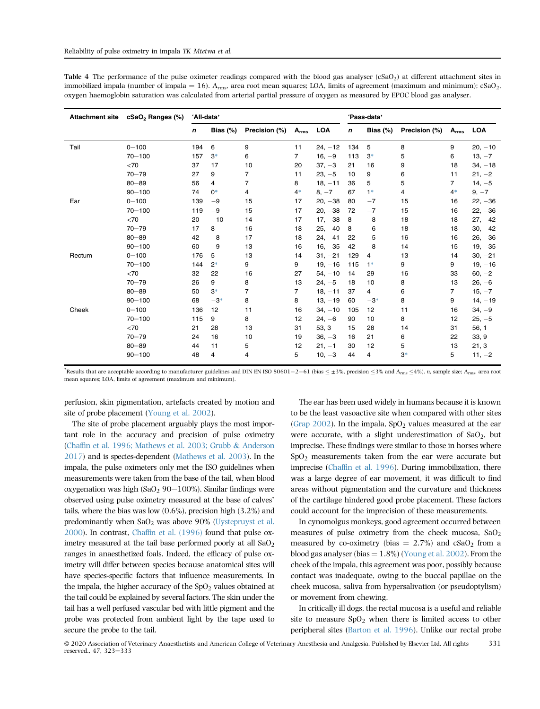<span id="page-8-0"></span>Table 4 The performance of the pulse oximeter readings compared with the blood gas analyser  $(cSaO<sub>2</sub>)$  at different attachment sites in immobilized impala (number of impala = 16).  $A_{rms}$ , area root mean squares; LOA, limits of agreement (maximum and minimum); cSaO<sub>2</sub>, oxygen haemoglobin saturation was calculated from arterial partial pressure of oxygen as measured by EPOC blood gas analyser.

| <b>Attachment site</b> | cSaO <sub>2</sub> Ranges (%) | 'All-data'  |                |                |                |            | 'Pass-data' |             |               |                |            |
|------------------------|------------------------------|-------------|----------------|----------------|----------------|------------|-------------|-------------|---------------|----------------|------------|
|                        |                              | $\mathbf n$ | Bias $(\%)$    | Precision (%)  | $A_{rms}$      | <b>LOA</b> | n           | Bias $(\%)$ | Precision (%) | $A_{rms}$      | <b>LOA</b> |
| Tail                   | $0 - 100$                    | 194         | 6              | 9              | 11             | $24, -12$  | 134         | 5           | 8             | 9              | $20, -10$  |
|                        | $70 - 100$                   | 157         | $3*$           | 6              | $\overline{7}$ | $16, -9$   | 113         | $3*$        | 5             | 6              | $13, -7$   |
|                        | < 70                         | 37          | 17             | 10             | 20             | $37, -3$   | 21          | 16          | 9             | 18             | $34, -18$  |
|                        | $70 - 79$                    | 27          | 9              | $\overline{7}$ | 11             | $23, -5$   | 10          | 9           | 6             | 11             | $21, -2$   |
|                        | $80 - 89$                    | 56          | $\overline{4}$ | $\overline{7}$ | 8              | $18, -11$  | 36          | 5           | 5             | $\overline{7}$ | $14, -5$   |
|                        | $90 - 100$                   | 74          | $0*$           | 4              | $4*$           | $8, -7$    | 67          | $1*$        | 4             | $4*$           | $9, -7$    |
| Ear                    | $0 - 100$                    | 139         | $-9$           | 15             | 17             | $20, -38$  | 80          | $-7$        | 15            | 16             | $22, -36$  |
|                        | $70 - 100$                   | 119         | $-9$           | 15             | 17             | $20, -38$  | 72          | $-7$        | 15            | 16             | $22, -36$  |
|                        | <70                          | 20          | $-10$          | 14             | 17             | $17, -38$  | 8           | $-8$        | 18            | 18             | $27, -42$  |
|                        | $70 - 79$                    | 17          | 8              | 16             | 18             | $25, -40$  | 8           | $-6$        | 18            | 18             | $30, -42$  |
|                        | $80 - 89$                    | 42          | $-8$           | 17             | 18             | $24, -41$  | 22          | $-5$        | 16            | 16             | $26, -36$  |
|                        | $90 - 100$                   | 60          | $-9$           | 13             | 16             | $16, -35$  | 42          | $-8$        | 14            | 15             | $19, -35$  |
| Rectum                 | $0 - 100$                    | 176         | 5              | 13             | 14             | $31, -21$  | 129         | 4           | 13            | 14             | $30, -21$  |
|                        | $70 - 100$                   | 144         | $2*$           | 9              | 9              | $19, -16$  | 115         | $1*$        | 9             | 9              | $19, -16$  |
|                        | <70                          | 32          | 22             | 16             | 27             | $54, -10$  | 14          | 29          | 16            | 33             | $60, -2$   |
|                        | $70 - 79$                    | 26          | 9              | 8              | 13             | $24, -5$   | 18          | 10          | 8             | 13             | $26, -6$   |
|                        | $80 - 89$                    | 50          | $3*$           | $\overline{7}$ | $\overline{7}$ | $18, -11$  | 37          | 4           | 6             | $\overline{7}$ | $15, -7$   |
|                        | $90 - 100$                   | 68          | $-3*$          | 8              | 8              | $13, -19$  | 60          | $-3*$       | 8             | 9              | $14, -19$  |
| Cheek                  | $0 - 100$                    | 136         | 12             | 11             | 16             | $34, -10$  | 105         | 12          | 11            | 16             | $34, -9$   |
|                        | $70 - 100$                   | 115         | 9              | 8              | 12             | $24, -6$   | 90          | 10          | 8             | 12             | $25, -5$   |
|                        | <70                          | 21          | 28             | 13             | 31             | 53, 3      | 15          | 28          | 14            | 31             | 56, 1      |
|                        | $70 - 79$                    | 24          | 16             | 10             | 19             | $36, -3$   | 16          | 21          | 6             | 22             | 33, 9      |
|                        | $80 - 89$                    | 44          | 11             | 5              | 12             | $21, -1$   | 30          | 12          | 5             | 13             | 21, 3      |
|                        | $90 - 100$                   | 48          | 4              | 4              | 5              | $10, -3$   | 44          | 4           | $3*$          | 5              | $11, -2$   |

\*Results that are acceptable according to manufacturer guidelines and DIN EN ISO 80601-2-61 (bias  $\leq \pm 3\%$ , precision  $\leq 3\%$  and  $A_{\rm rms} \leq 4\%$ ). *n*, sample size;  $A_{\rm rms}$ , area root mean squares; LOA, limits of agreement (maximum and minimum).

perfusion, skin pigmentation, artefacts created by motion and site of probe placement [\(Young et al. 2002\)](#page-10-14).

The site of probe placement arguably plays the most important role in the accuracy and precision of pulse oximetry (Chaffi[n et al. 1996; Mathews et al. 2003; Grubb](#page-9-0) & [Anderson](#page-9-0) [2017](#page-9-0)) and is species-dependent ([Mathews et al. 2003](#page-10-13)). In the impala, the pulse oximeters only met the ISO guidelines when measurements were taken from the base of the tail, when blood oxygenation was high  $(SaO<sub>2</sub> 90-100%)$ . Similar findings were observed using pulse oximetry measured at the base of calves' tails, where the bias was low (0.6%), precision high (3.2%) and predominantly when  $SaO<sub>2</sub>$  was above 90% ([Uystepruyst et al.](#page-10-16) [2000](#page-10-16)). In contrast, Chaffi[n et al. \(1996\)](#page-9-0) found that pulse oximetry measured at the tail base performed poorly at all  $SaO<sub>2</sub>$ ranges in anaesthetized foals. Indeed, the efficacy of pulse oximetry will differ between species because anatomical sites will have species-specific factors that influence measurements. In the impala, the higher accuracy of the  $SpO<sub>2</sub>$  values obtained at the tail could be explained by several factors. The skin under the tail has a well perfused vascular bed with little pigment and the probe was protected from ambient light by the tape used to secure the probe to the tail.

The ear has been used widely in humans because it is known to be the least vasoactive site when compared with other sites (Grap  $2002$ ). In the impala, SpO<sub>2</sub> values measured at the ear were accurate, with a slight underestimation of  $SaO<sub>2</sub>$ , but imprecise. These findings were similar to those in horses where  $SpO<sub>2</sub>$  measurements taken from the ear were accurate but imprecise (Chaffi[n et al. 1996\)](#page-9-0). During immobilization, there was a large degree of ear movement, it was difficult to find areas without pigmentation and the curvature and thickness of the cartilage hindered good probe placement. These factors could account for the imprecision of these measurements.

In cynomolgus monkeys, good agreement occurred between measures of pulse oximetry from the cheek mucosa,  $SaO<sub>2</sub>$ measured by co-oximetry (bias  $= 2.7\%$ ) and cSaO<sub>2</sub> from a blood gas analyser (bias  $= 1.8\%$ ) [\(Young et al. 2002](#page-10-14)). From the cheek of the impala, this agreement was poor, possibly because contact was inadequate, owing to the buccal papillae on the cheek mucosa, saliva from hypersalivation (or pseudoptylism) or movement from chewing.

In critically ill dogs, the rectal mucosa is a useful and reliable site to measure  $SpO<sub>2</sub>$  when there is limited access to other peripheral sites ([Barton et al. 1996\)](#page-9-6). Unlike our rectal probe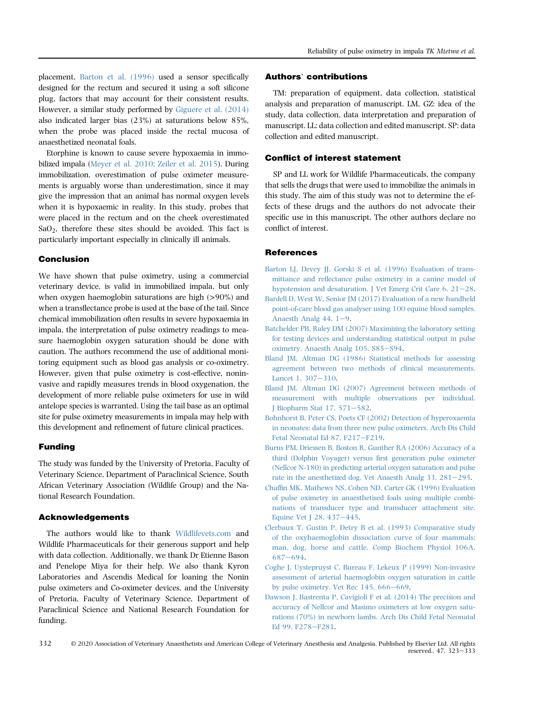placement, [Barton et al. \(1996\)](#page-9-6) used a sensor specifically designed for the rectum and secured it using a soft silicone plug, factors that may account for their consistent results. However, a similar study performed by [Giguere et al. \(2014\)](#page-10-19) also indicated larger bias (23%) at saturations below 85%, when the probe was placed inside the rectal mucosa of anaesthetized neonatal foals.

Etorphine is known to cause severe hypoxaemia in immobilized impala ([Meyer et al. 2010; Zeiler et al. 2015](#page-10-20)). During immobilization, overestimation of pulse oximeter measurements is arguably worse than underestimation, since it may give the impression that an animal has normal oxygen levels when it is hypoxaemic in reality. In this study, probes that were placed in the rectum and on the cheek overestimated  $SaO<sub>2</sub>$ , therefore these sites should be avoided. This fact is particularly important especially in clinically ill animals.

## Conclusion

We have shown that pulse oximetry, using a commercial veterinary device, is valid in immobilized impala, but only when oxygen haemoglobin saturations are high (>90%) and when a transflectance probe is used at the base of the tail. Since chemical immobilization often results in severe hypoxaemia in impala, the interpretation of pulse oximetry readings to measure haemoglobin oxygen saturation should be done with caution. The authors recommend the use of additional monitoring equipment such as blood gas analysis or co-oximetry. However, given that pulse oximetry is cost-effective, noninvasive and rapidly measures trends in blood oxygenation, the development of more reliable pulse oximeters for use in wild antelope species is warranted. Using the tail base as an optimal site for pulse oximetry measurements in impala may help with this development and refinement of future clinical practices.

## Funding

The study was funded by the University of Pretoria, Faculty of Veterinary Science, Department of Paraclinical Science, South African Veterinary Association (Wildlife Group) and the National Research Foundation.

# Acknowledgements

The authors would like to thank [Wildlifevets.com](http://Wildlifevets.com) and Wildlife Pharmaceuticals for their generous support and help with data collection. Additionally, we thank Dr Etienne Bason and Penelope Miya for their help. We also thank Kyron Laboratories and Ascendis Medical for loaning the Nonin pulse oximeters and Co-oximeter devices, and the University of Pretoria, Faculty of Veterinary Science, Department of Paraclinical Science and National Research Foundation for funding.

## Authors' contributions

TM: preparation of equipment, data collection, statistical analysis and preparation of manuscript. LM, GZ: idea of the study, data collection, data interpretation and preparation of manuscript. LL: data collection and edited manuscript. SP: data collection and edited manuscript.

## Conflict of interest statement

SP and LL work for Wildlife Pharmaceuticals, the company that sells the drugs that were used to immobilize the animals in this study. The aim of this study was not to determine the effects of these drugs and the authors do not advocate their specific use in this manuscript. The other authors declare no conflict of interest.

## **References**

- <span id="page-9-6"></span>[Barton LJ, Devey JJ, Gorski S et al. \(1996\) Evaluation of trans](http://refhub.elsevier.com/S1467-2987(20)30007-6/sref1)mittance and refl[ectance pulse oximetry in a canine model of](http://refhub.elsevier.com/S1467-2987(20)30007-6/sref1) hypotension and desaturation. J Vet Emerg Crit Care  $6, 21-28$  $6, 21-28$ .
- [Bardell D, West W, Senior JM \(2017\) Evaluation of a new handheld](http://refhub.elsevier.com/S1467-2987(20)30007-6/sref2) [point-of-care blood gas analyser using 100 equine blood samples.](http://refhub.elsevier.com/S1467-2987(20)30007-6/sref2) Anaesth Analg  $44$ ,  $1-9$ .
- <span id="page-9-2"></span>[Batchelder PB, Raley DM \(2007\) Maximizing the laboratory setting](http://refhub.elsevier.com/S1467-2987(20)30007-6/sref3) [for testing devices and understanding statistical output in pulse](http://refhub.elsevier.com/S1467-2987(20)30007-6/sref3) [oximetry. Anaesth Analg 105, S85](http://refhub.elsevier.com/S1467-2987(20)30007-6/sref3)-[S94.](http://refhub.elsevier.com/S1467-2987(20)30007-6/sref3)
- <span id="page-9-4"></span>[Bland JM, Altman DG \(1986\) Statistical methods for assessing](http://refhub.elsevier.com/S1467-2987(20)30007-6/sref4) [agreement between two methods of clinical measurements.](http://refhub.elsevier.com/S1467-2987(20)30007-6/sref4) [Lancet 1, 307](http://refhub.elsevier.com/S1467-2987(20)30007-6/sref4)-[310](http://refhub.elsevier.com/S1467-2987(20)30007-6/sref4).
- <span id="page-9-1"></span>[Bland JM, Altman DG \(2007\) Agreement between methods of](http://refhub.elsevier.com/S1467-2987(20)30007-6/sref5) [measurement with multiple observations per individual.](http://refhub.elsevier.com/S1467-2987(20)30007-6/sref5) J Biopharm Stat  $17, 571-582$ .
- <span id="page-9-3"></span>[Bohnhorst B, Peter CS, Poets CF \(2002\) Detection of hyperoxaemia](http://refhub.elsevier.com/S1467-2987(20)30007-6/sref6) [in neonates: data from three new pulse oximeters. Arch Dis Child](http://refhub.elsevier.com/S1467-2987(20)30007-6/sref6) [Fetal Neonatal Ed 87, F217](http://refhub.elsevier.com/S1467-2987(20)30007-6/sref6)-[F219](http://refhub.elsevier.com/S1467-2987(20)30007-6/sref6).
- <span id="page-9-5"></span>[Burns PM, Driessen B, Boston R, Gunther RA \(2006\) Accuracy of a](http://refhub.elsevier.com/S1467-2987(20)30007-6/sref7) [third \(Dolphin Voyager\) versus](http://refhub.elsevier.com/S1467-2987(20)30007-6/sref7) first generation pulse oximeter [\(Nellcor N-180\) in predicting arterial oxygen saturation and pulse](http://refhub.elsevier.com/S1467-2987(20)30007-6/sref7) rate in the anesthetized dog. Vet Anaesth Analg  $33, 281-295$ .
- <span id="page-9-0"></span>Chaffi[n MK, Mathews NS, Cohen ND, Carter GK \(1996\) Evaluation](http://refhub.elsevier.com/S1467-2987(20)30007-6/sref8) [of pulse oximetry in anaesthetised foals using multiple combi](http://refhub.elsevier.com/S1467-2987(20)30007-6/sref8)[nations of transducer type and transducer attachment site.](http://refhub.elsevier.com/S1467-2987(20)30007-6/sref8) [Equine Vet J 28, 437](http://refhub.elsevier.com/S1467-2987(20)30007-6/sref8)-[445](http://refhub.elsevier.com/S1467-2987(20)30007-6/sref8).
- [Clerbaux T, Gustin P, Detry B et al. \(1993\) Comparative study](http://refhub.elsevier.com/S1467-2987(20)30007-6/sref9) [of the oxyhaemoglobin dissociation curve of four mammals:](http://refhub.elsevier.com/S1467-2987(20)30007-6/sref9) [man, dog, horse and cattle. Comp Biochem Physiol 106A,](http://refhub.elsevier.com/S1467-2987(20)30007-6/sref9) [687](http://refhub.elsevier.com/S1467-2987(20)30007-6/sref9)-[694.](http://refhub.elsevier.com/S1467-2987(20)30007-6/sref9)
- [Coghe J, Uystepruyst C, Bureau F, Lekeux P \(1999\) Non-invasive](http://refhub.elsevier.com/S1467-2987(20)30007-6/sref10) [assessment of arterial haemoglobin oxygen saturation in cattle](http://refhub.elsevier.com/S1467-2987(20)30007-6/sref10) [by pulse oximetry. Vet Rec 145, 666](http://refhub.elsevier.com/S1467-2987(20)30007-6/sref10)-[669](http://refhub.elsevier.com/S1467-2987(20)30007-6/sref10).
- [Dawson J, Bastrenta P, Cavigioli F et al. \(2014\) The precision and](http://refhub.elsevier.com/S1467-2987(20)30007-6/sref11) [accuracy of Nellcor and Masimo oximeters at low oxygen satu](http://refhub.elsevier.com/S1467-2987(20)30007-6/sref11)[rations \(70%\) in newborn lambs. Arch Dis Child Fetal Neonatal](http://refhub.elsevier.com/S1467-2987(20)30007-6/sref11) [Ed 99, F278](http://refhub.elsevier.com/S1467-2987(20)30007-6/sref11)-[F281.](http://refhub.elsevier.com/S1467-2987(20)30007-6/sref11)